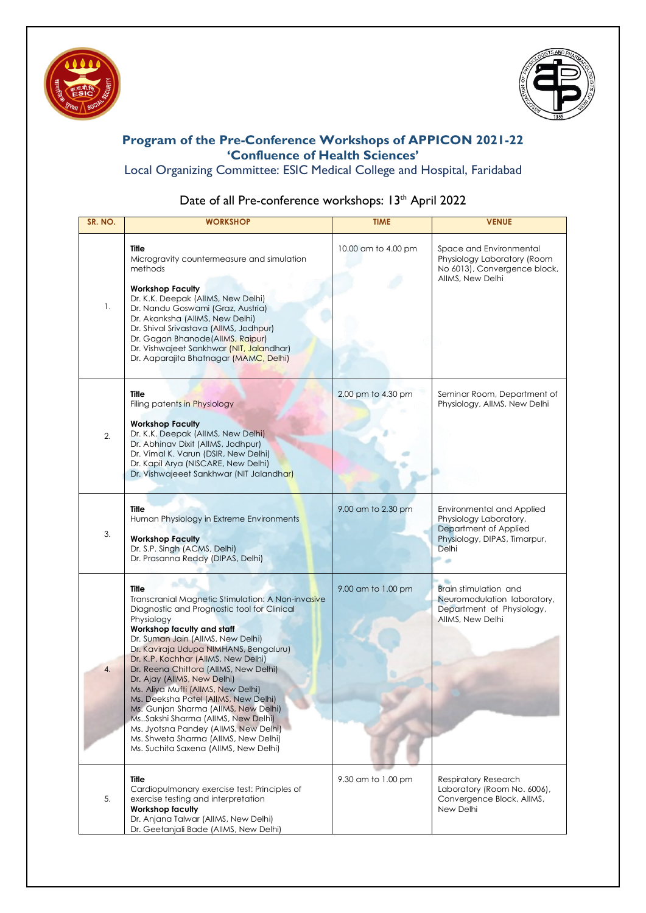



## **Program of the Pre-Conference Workshops of APPICON 2021-22 'Confluence of Health Sciences'**

Local Organizing Committee: ESIC Medical College and Hospital, Faridabad

## Date of all Pre-conference workshops: 13<sup>th</sup> April 2022

| SR. NO. | <b>WORKSHOP</b>                                                                                                                                                                                                                                                                                                                                                                                                                                                                                                                                                                                                                                  | <b>TIME</b>         | <b>VENUE</b>                                                                                                                 |
|---------|--------------------------------------------------------------------------------------------------------------------------------------------------------------------------------------------------------------------------------------------------------------------------------------------------------------------------------------------------------------------------------------------------------------------------------------------------------------------------------------------------------------------------------------------------------------------------------------------------------------------------------------------------|---------------------|------------------------------------------------------------------------------------------------------------------------------|
| 1.      | Title<br>Microgravity countermeasure and simulation<br>methods<br><b>Workshop Faculty</b><br>Dr. K.K. Deepak (AllMS, New Delhi)<br>Dr. Nandu Goswami (Graz, Austria)<br>Dr. Akanksha (AllMS, New Delhi)<br>Dr. Shival Srivastava (AllMS, Jodhpur)<br>Dr. Gagan Bhanode (AllMS, Raipur)<br>Dr. Vishwajeet Sankhwar (NIT, Jalandhar)<br>Dr. Aaparajita Bhatnagar (MAMC, Delhi)                                                                                                                                                                                                                                                                     | 10.00 am to 4.00 pm | Space and Environmental<br>Physiology Laboratory (Room<br>No 6013), Convergence block,<br>AllMS, New Delhi                   |
| 2.      | <b>Title</b><br>Filing patents in Physiology<br><b>Workshop Faculty</b><br>Dr. K.K. Deepak (AllMS, New Delhi)<br>Dr. Abhinav Dixit (AllMS, Jodhpur)<br>Dr. Vimal K. Varun (DSIR, New Delhi)<br>Dr. Kapil Arya (NISCARE, New Delhi)<br>Dr. Vishwajeeet Sankhwar (NIT Jalandhar)                                                                                                                                                                                                                                                                                                                                                                   | 2.00 pm to 4.30 pm  | Seminar Room, Department of<br>Physiology, AllMS, New Delhi                                                                  |
| 3.      | <b>Title</b><br>Human Physiology in Extreme Environments<br><b>Workshop Faculty</b><br>Dr. S.P. Singh (ACMS, Delhi)<br>Dr. Prasanna Reddy (DIPAS, Delhi)                                                                                                                                                                                                                                                                                                                                                                                                                                                                                         | 9.00 am to 2.30 pm  | <b>Environmental and Applied</b><br>Physiology Laboratory,<br>Department of Applied<br>Physiology, DIPAS, Timarpur,<br>Delhi |
| 4.      | <b>Title</b><br>Transcranial Magnetic Stimulation: A Non-invasive<br>Diagnostic and Prognostic tool for Clinical<br>Physiology<br>Workshop faculty and staff<br>Dr. Suman Jain (AllMS, New Delhi)<br>Dr. Kaviraja Udupa NIMHANS, Bengaluru)<br>Dr. K.P. Kochhar (AllMS, New Delhi)<br>Dr. Reena Chittora (AllMS, New Delhi)<br>Dr. Ajay (AllMS, New Delhi)<br>Ms. Aliya Mufti (AllMS, New Delhi)<br>Ms. Deeksha Patel (AllMS, New Delhi)<br>Ms. Gunjan Sharma (AllMS, New Delhi)<br>MsSakshi Sharma (AllMS, New Delhi)<br>Ms. Jyotsna Pandey (AllMS, New Delhi)<br>Ms. Shweta Sharma (AllMS, New Delhi)<br>Ms. Suchita Saxena (AllMS, New Delhi) | 9.00 am to 1.00 pm  | Brain stimulation and<br>Neuromodulation laboratory,<br>Department of Physiology,<br>AllMS, New Delhi                        |
| 5.      | <b>Title</b><br>Cardiopulmonary exercise test: Principles of<br>exercise testing and interpretation<br><b>Workshop faculty</b><br>Dr. Anjana Talwar (AllMS, New Delhi)<br>Dr. Geetanjali Bade (AllMS, New Delhi)                                                                                                                                                                                                                                                                                                                                                                                                                                 | 9.30 am to 1.00 pm  | <b>Respiratory Research</b><br>Laboratory (Room No. 6006),<br>Convergence Block, AllMS,<br>New Delhi                         |